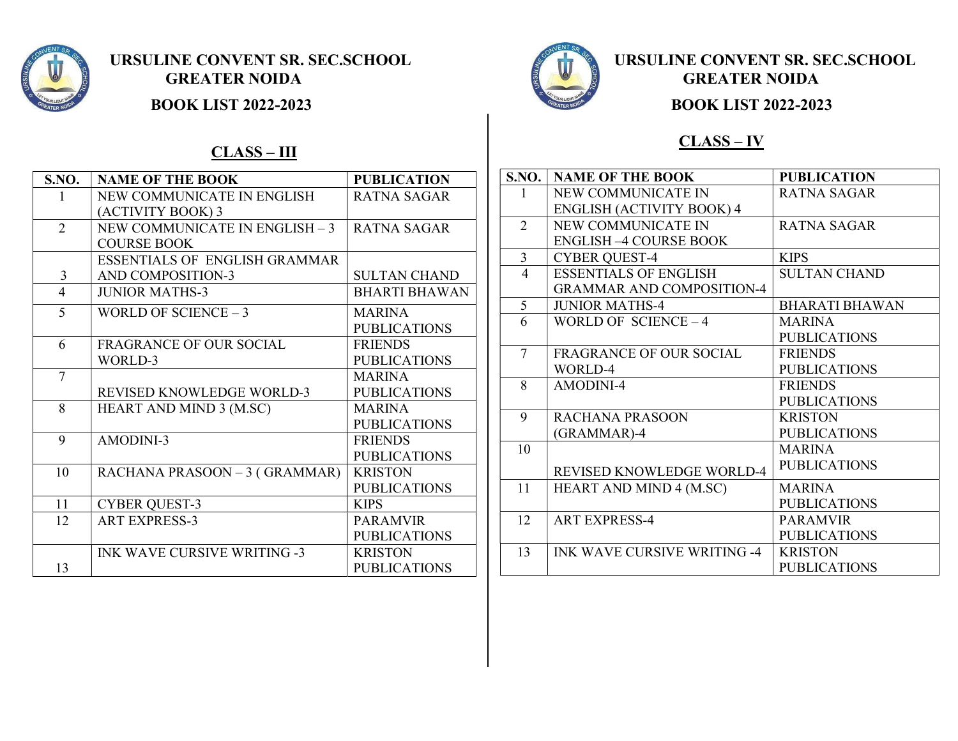

**BOOK LIST 2022-2023 BOOK LIST 2022-2023** 

### $CLASS - III$

| S.NO.           | <b>NAME OF THE BOOK</b>              | <b>PUBLICATION</b>   |
|-----------------|--------------------------------------|----------------------|
|                 | NEW COMMUNICATE IN ENGLISH           | <b>RATNA SAGAR</b>   |
|                 | (ACTIVITY BOOK) 3                    |                      |
| $\overline{2}$  | NEW COMMUNICATE IN ENGLISH - 3       | <b>RATNA SAGAR</b>   |
|                 | <b>COURSE BOOK</b>                   |                      |
|                 | <b>ESSENTIALS OF ENGLISH GRAMMAR</b> |                      |
| 3               | <b>AND COMPOSITION-3</b>             | <b>SULTAN CHAND</b>  |
| 4               | <b>JUNIOR MATHS-3</b>                | <b>BHARTI BHAWAN</b> |
| 5               | WORLD OF SCIENCE $-3$                | <b>MARINA</b>        |
|                 |                                      | <b>PUBLICATIONS</b>  |
| 6               | <b>FRAGRANCE OF OUR SOCIAL</b>       | <b>FRIENDS</b>       |
|                 | WORLD-3                              | <b>PUBLICATIONS</b>  |
| $\overline{7}$  |                                      | <b>MARINA</b>        |
|                 | <b>REVISED KNOWLEDGE WORLD-3</b>     | <b>PUBLICATIONS</b>  |
| 8               | HEART AND MIND 3 (M.SC)              | <b>MARINA</b>        |
|                 |                                      | <b>PUBLICATIONS</b>  |
| 9               | AMODINI-3                            | <b>FRIENDS</b>       |
|                 |                                      | <b>PUBLICATIONS</b>  |
| 10              | RACHANA PRASOON - 3 (GRAMMAR)        | <b>KRISTON</b>       |
|                 |                                      | <b>PUBLICATIONS</b>  |
| 11              | <b>CYBER QUEST-3</b>                 | <b>KIPS</b>          |
| 12 <sup>°</sup> | <b>ART EXPRESS-3</b>                 | <b>PARAMVIR</b>      |
|                 |                                      | <b>PUBLICATIONS</b>  |
|                 | <b>INK WAVE CURSIVE WRITING -3</b>   | <b>KRISTON</b>       |
| 13              |                                      | <b>PUBLICATIONS</b>  |



#### CLASS – IV

| <b>S.NO.</b>   | <b>NAME OF THE BOOK</b>            | <b>PUBLICATION</b>    |
|----------------|------------------------------------|-----------------------|
| 1              | NEW COMMUNICATE IN                 | RATNA SAGAR           |
|                | <b>ENGLISH (ACTIVITY BOOK) 4</b>   |                       |
| $\overline{2}$ | NEW COMMUNICATE IN                 | RATNA SAGAR           |
|                | <b>ENGLISH -4 COURSE BOOK</b>      |                       |
| $\overline{3}$ | <b>CYBER QUEST-4</b>               | <b>KIPS</b>           |
| $\overline{4}$ | <b>ESSENTIALS OF ENGLISH</b>       | <b>SULTAN CHAND</b>   |
|                | <b>GRAMMAR AND COMPOSITION-4</b>   |                       |
| 5              | <b>JUNIOR MATHS-4</b>              | <b>BHARATI BHAWAN</b> |
| 6              | WORLD OF SCIENCE $-4$              | <b>MARINA</b>         |
|                |                                    | <b>PUBLICATIONS</b>   |
| $\overline{7}$ | <b>FRAGRANCE OF OUR SOCIAL</b>     | <b>FRIENDS</b>        |
|                | WORLD-4                            | <b>PUBLICATIONS</b>   |
| 8              | AMODINI-4                          | <b>FRIENDS</b>        |
|                |                                    | <b>PUBLICATIONS</b>   |
| 9              | <b>RACHANA PRASOON</b>             | <b>KRISTON</b>        |
|                | (GRAMMAR)-4                        | <b>PUBLICATIONS</b>   |
| 10             |                                    | <b>MARINA</b>         |
|                | REVISED KNOWLEDGE WORLD-4          | <b>PUBLICATIONS</b>   |
| 11             | <b>HEART AND MIND 4 (M.SC)</b>     | <b>MARINA</b>         |
|                |                                    | <b>PUBLICATIONS</b>   |
| 12             | <b>ART EXPRESS-4</b>               | <b>PARAMVIR</b>       |
|                |                                    | <b>PUBLICATIONS</b>   |
| 13             | <b>INK WAVE CURSIVE WRITING -4</b> | <b>KRISTON</b>        |
|                |                                    | <b>PUBLICATIONS</b>   |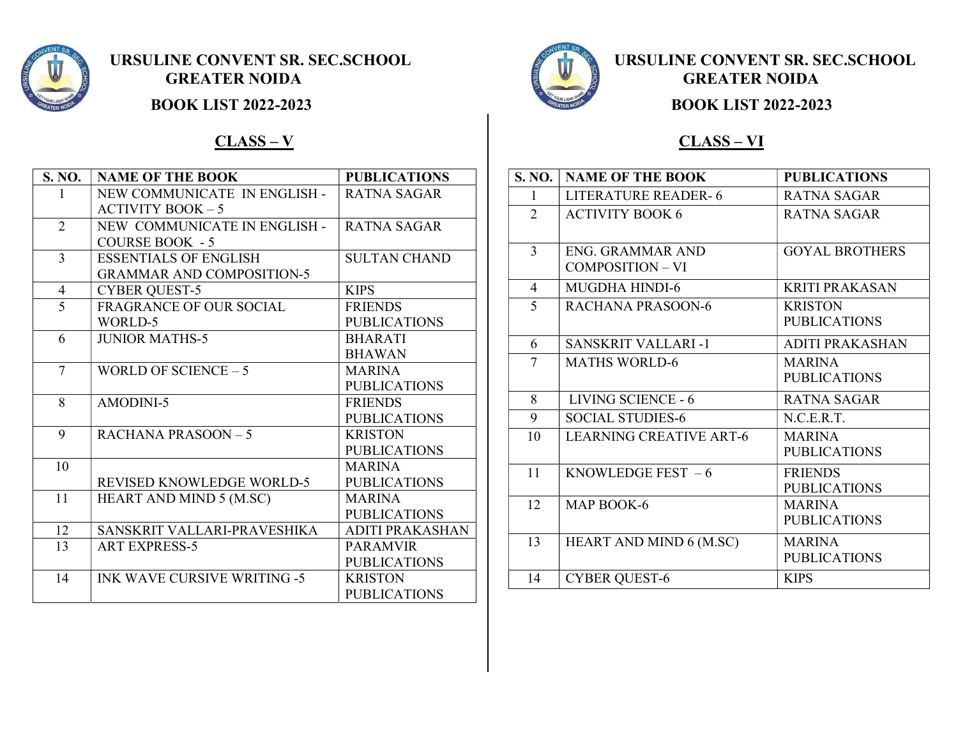



### $CLASS - V$

| S. NO.         | <b>NAME OF THE BOOK</b>            | <b>PUBLICATIONS</b> |
|----------------|------------------------------------|---------------------|
|                | NEW COMMUNICATE IN ENGLISH -       | RATNA SAGAR         |
|                | <b>ACTIVITY BOOK - 5</b>           |                     |
| $\overline{2}$ | NEW COMMUNICATE IN ENGLISH -       | RATNA SAGAR         |
|                | <b>COURSE BOOK - 5</b>             |                     |
| 3              | <b>ESSENTIALS OF ENGLISH</b>       | <b>SULTAN CHAND</b> |
|                | <b>GRAMMAR AND COMPOSITION-5</b>   |                     |
| 4              | <b>CYBER QUEST-5</b>               | <b>KIPS</b>         |
| 5              | <b>FRAGRANCE OF OUR SOCIAL</b>     | <b>FRIENDS</b>      |
|                | WORLD-5                            | <b>PUBLICATIONS</b> |
| 6              | <b>JUNIOR MATHS-5</b>              | <b>BHARATI</b>      |
|                |                                    | <b>BHAWAN</b>       |
| $\overline{7}$ | WORLD OF SCIENCE $-5$              | <b>MARINA</b>       |
|                |                                    | <b>PUBLICATIONS</b> |
| 8              | AMODINI-5                          | <b>FRIENDS</b>      |
|                |                                    | <b>PUBLICATIONS</b> |
| 9              | RACHANA PRASOON $-5$               | <b>KRISTON</b>      |
|                |                                    | <b>PUBLICATIONS</b> |
| 10             |                                    | <b>MARINA</b>       |
|                | <b>REVISED KNOWLEDGE WORLD-5</b>   | <b>PUBLICATIONS</b> |
| 11             | HEART AND MIND 5 (M.SC)            | <b>MARINA</b>       |
|                |                                    | <b>PUBLICATIONS</b> |
| 12             | SANSKRIT VALLARI-PRAVESHIKA        | ADITI PRAKASHAN     |
| 13             | <b>ART EXPRESS-5</b>               | <b>PARAMVIR</b>     |
|                |                                    | <b>PUBLICATIONS</b> |
| 14             | <b>INK WAVE CURSIVE WRITING -5</b> | <b>KRISTON</b>      |
|                |                                    | <b>PUBLICATIONS</b> |



#### CLASS – VI

| S. NO.         | <b>NAME OF THE BOOK</b>        | <b>PUBLICATIONS</b>   |
|----------------|--------------------------------|-----------------------|
| 1              | <b>LITERATURE READER-6</b>     | <b>RATNA SAGAR</b>    |
| $\overline{2}$ | <b>ACTIVITY BOOK 6</b>         | <b>RATNA SAGAR</b>    |
|                |                                |                       |
| 3              | ENG. GRAMMAR AND               | <b>GOYAL BROTHERS</b> |
|                | COMPOSITION - VI               |                       |
| 4              | <b>MUGDHA HINDI-6</b>          | <b>KRITI PRAKASAN</b> |
| 5              | RACHANA PRASOON-6              | <b>KRISTON</b>        |
|                |                                | <b>PUBLICATIONS</b>   |
| 6              | <b>SANSKRIT VALLARI -1</b>     | ADITI PRAKASHAN       |
| 7              | <b>MATHS WORLD-6</b>           | <b>MARINA</b>         |
|                |                                | <b>PUBLICATIONS</b>   |
| 8              | LIVING SCIENCE - 6             | <b>RATNA SAGAR</b>    |
| 9              | <b>SOCIAL STUDIES-6</b>        | N.C.E.R.T.            |
| 10             | <b>LEARNING CREATIVE ART-6</b> | <b>MARINA</b>         |
|                |                                | <b>PUBLICATIONS</b>   |
| 11             | KNOWLEDGE FEST $-6$            | <b>FRIENDS</b>        |
|                |                                | <b>PUBLICATIONS</b>   |
| 12             | MAP BOOK-6                     | <b>MARINA</b>         |
|                |                                | <b>PUBLICATIONS</b>   |
| 13             | HEART AND MIND 6 (M.SC)        | <b>MARINA</b>         |
|                |                                | <b>PUBLICATIONS</b>   |
| 14             | <b>CYBER QUEST-6</b>           | <b>KIPS</b>           |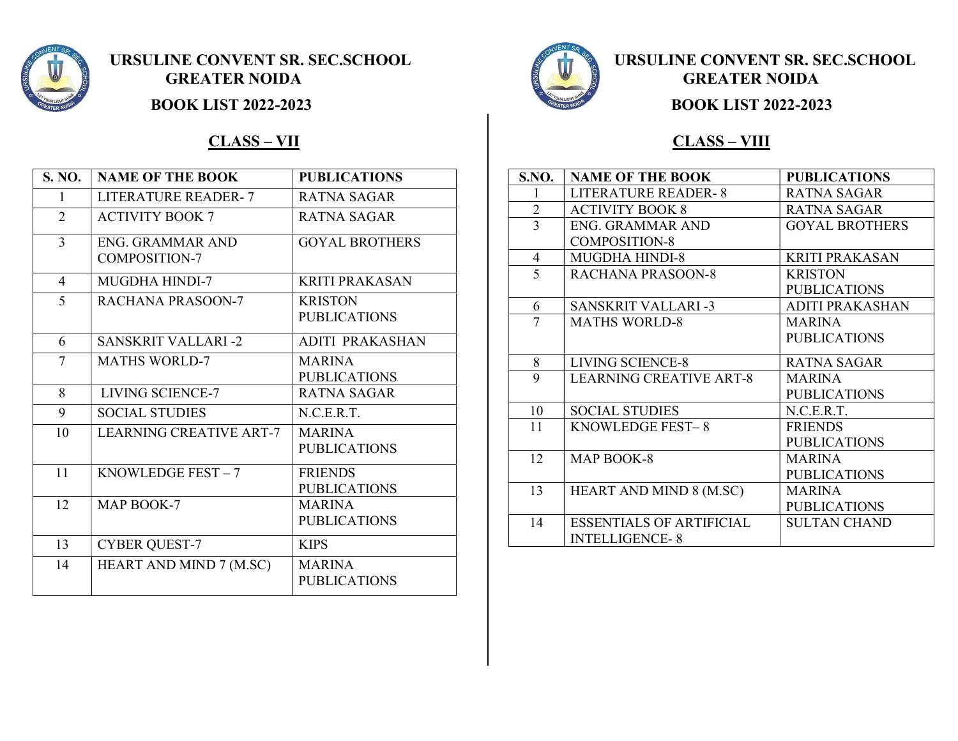

### CLASS – VII

| S. NO.         | <b>NAME OF THE BOOK</b>                  | <b>PUBLICATIONS</b>                   |
|----------------|------------------------------------------|---------------------------------------|
| 1              | <b>LITERATURE READER-7</b>               | RATNA SAGAR                           |
| $\overline{2}$ | <b>ACTIVITY BOOK 7</b>                   | <b>RATNA SAGAR</b>                    |
| $\overline{3}$ | ENG. GRAMMAR AND<br><b>COMPOSITION-7</b> | <b>GOYAL BROTHERS</b>                 |
| $\overline{4}$ | <b>MUGDHA HINDI-7</b>                    | <b>KRITI PRAKASAN</b>                 |
| 5              | RACHANA PRASOON-7                        | <b>KRISTON</b><br><b>PUBLICATIONS</b> |
| 6              | <b>SANSKRIT VALLARI-2</b>                | <b>ADITI PRAKASHAN</b>                |
| 7              | <b>MATHS WORLD-7</b>                     | <b>MARINA</b><br><b>PUBLICATIONS</b>  |
| 8              | LIVING SCIENCE-7                         | <b>RATNA SAGAR</b>                    |
| 9              | <b>SOCIAL STUDIES</b>                    | N.C.E.R.T.                            |
| 10             | <b>LEARNING CREATIVE ART-7</b>           | <b>MARINA</b><br><b>PUBLICATIONS</b>  |
| 11             | KNOWLEDGE FEST $-7$                      | <b>FRIENDS</b><br><b>PUBLICATIONS</b> |
| 12             | MAP BOOK-7                               | <b>MARINA</b><br><b>PUBLICATIONS</b>  |
| 13             | <b>CYBER QUEST-7</b>                     | <b>KIPS</b>                           |
| 14             | HEART AND MIND 7 (M.SC)                  | <b>MARINA</b><br><b>PUBLICATIONS</b>  |



#### **BOOK LIST 2022-2023 BOOK LIST 2022-2023**

#### CLASS – VIII

| <b>S.NO.</b>   | <b>NAME OF THE BOOK</b>         | <b>PUBLICATIONS</b>   |
|----------------|---------------------------------|-----------------------|
| 1              | <b>LITERATURE READER-8</b>      | <b>RATNA SAGAR</b>    |
| $\overline{2}$ | <b>ACTIVITY BOOK 8</b>          | RATNA SAGAR           |
| 3              | <b>ENG. GRAMMAR AND</b>         | <b>GOYAL BROTHERS</b> |
|                | <b>COMPOSITION-8</b>            |                       |
| 4              | <b>MUGDHA HINDI-8</b>           | <b>KRITI PRAKASAN</b> |
| 5              | <b>RACHANA PRASOON-8</b>        | <b>KRISTON</b>        |
|                |                                 | <b>PUBLICATIONS</b>   |
| 6              | <b>SANSKRIT VALLARI-3</b>       | ADITI PRAKASHAN       |
| 7              | <b>MATHS WORLD-8</b>            | <b>MARINA</b>         |
|                |                                 | <b>PUBLICATIONS</b>   |
| 8              | <b>LIVING SCIENCE-8</b>         | RATNA SAGAR           |
| 9              | <b>LEARNING CREATIVE ART-8</b>  | <b>MARINA</b>         |
|                |                                 | <b>PUBLICATIONS</b>   |
| 10             | <b>SOCIAL STUDIES</b>           | N.C.E.R.T.            |
| 11             | KNOWLEDGE FEST-8                | <b>FRIENDS</b>        |
|                |                                 | <b>PUBLICATIONS</b>   |
| 12             | MAP BOOK-8                      | MARINA                |
|                |                                 | <b>PUBLICATIONS</b>   |
| 13             | HEART AND MIND 8 (M.SC)         | <b>MARINA</b>         |
|                |                                 | <b>PUBLICATIONS</b>   |
| 14             | <b>ESSENTIALS OF ARTIFICIAL</b> | <b>SULTAN CHAND</b>   |
|                | <b>INTELLIGENCE-8</b>           |                       |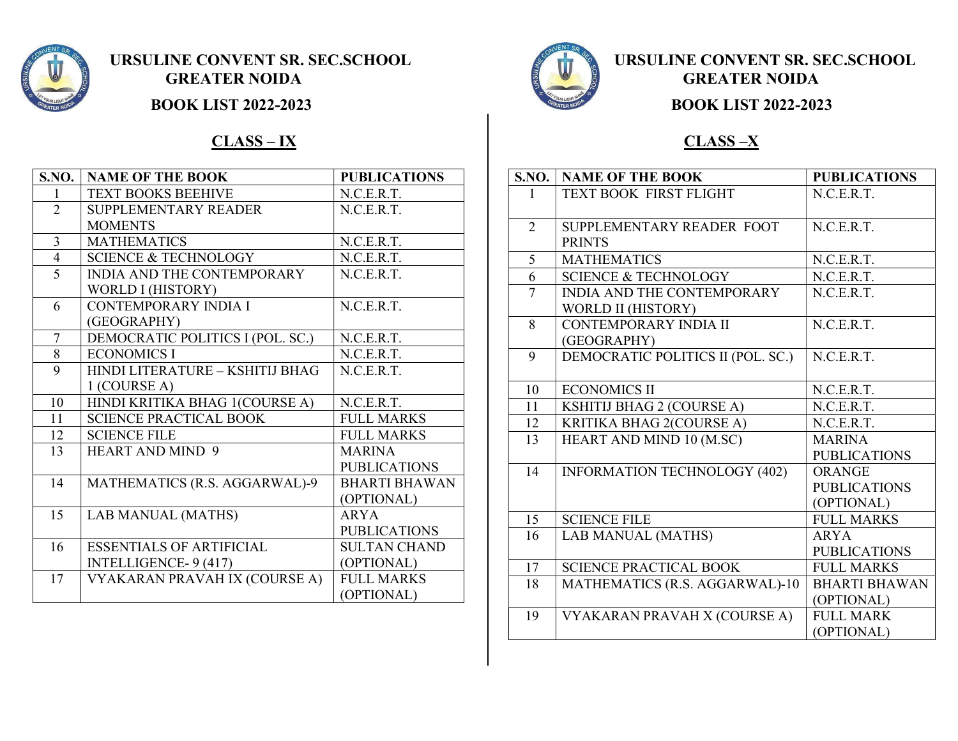

**BOOK LIST 2022-2023 BOOK LIST 2022-2023** 

### $CLASS - IX$  CLASS –X

| <b>S.NO.</b>   | <b>NAME OF THE BOOK</b>           | <b>PUBLICATIONS</b>  |
|----------------|-----------------------------------|----------------------|
| 1              | <b>TEXT BOOKS BEEHIVE</b>         | N.C.E.R.T.           |
| $\overline{2}$ | <b>SUPPLEMENTARY READER</b>       | N.C.E.R.T.           |
|                | <b>MOMENTS</b>                    |                      |
| $\overline{3}$ | <b>MATHEMATICS</b>                | N.C.E.R.T.           |
| $\overline{4}$ | <b>SCIENCE &amp; TECHNOLOGY</b>   | N.C.E.R.T.           |
| 5              | <b>INDIA AND THE CONTEMPORARY</b> | N.C.E.R.T.           |
|                | WORLD I (HISTORY)                 |                      |
| 6              | <b>CONTEMPORARY INDIA I</b>       | N.C.E.R.T.           |
|                | (GEOGRAPHY)                       |                      |
| $\overline{7}$ | DEMOCRATIC POLITICS I (POL. SC.)  | N.C.E.R.T.           |
| 8              | <b>ECONOMICS I</b>                | N.C.E.R.T.           |
| 9              | HINDI LITERATURE - KSHITIJ BHAG   | N.C.E.R.T.           |
|                | $1$ (COURSE A)                    |                      |
| 10             | HINDI KRITIKA BHAG 1(COURSE A)    | N.C.E.R.T.           |
| 11             | <b>SCIENCE PRACTICAL BOOK</b>     | <b>FULL MARKS</b>    |
| 12             | <b>SCIENCE FILE</b>               | <b>FULL MARKS</b>    |
| 13             | <b>HEART AND MIND 9</b>           | <b>MARINA</b>        |
|                |                                   | <b>PUBLICATIONS</b>  |
| 14             | MATHEMATICS (R.S. AGGARWAL)-9     | <b>BHARTI BHAWAN</b> |
|                |                                   | (OPTIONAL)           |
| 15             | <b>LAB MANUAL (MATHS)</b>         | <b>ARYA</b>          |
|                |                                   | <b>PUBLICATIONS</b>  |
| 16             | <b>ESSENTIALS OF ARTIFICIAL</b>   | <b>SULTAN CHAND</b>  |
|                | INTELLIGENCE-9 (417)              | (OPTIONAL)           |
| 17             | VYAKARAN PRAVAH IX (COURSE A)     | <b>FULL MARKS</b>    |
|                |                                   | (OPTIONAL)           |



| $\overline{\textbf{S}}.\textbf{NO}.$ | <b>NAME OF THE BOOK</b>             | <b>PUBLICATIONS</b>  |
|--------------------------------------|-------------------------------------|----------------------|
| 1                                    | TEXT BOOK FIRST FLIGHT              | N.C.E.R.T.           |
|                                      |                                     |                      |
| $\overline{2}$                       | SUPPLEMENTARY READER FOOT           | N.C.E.R.T.           |
|                                      | <b>PRINTS</b>                       |                      |
| 5                                    | <b>MATHEMATICS</b>                  | N.C.E.R.T.           |
| 6                                    | <b>SCIENCE &amp; TECHNOLOGY</b>     | N.C.E.R.T.           |
| $\overline{7}$                       | <b>INDIA AND THE CONTEMPORARY</b>   | N.C.E.R.T.           |
|                                      | WORLD II (HISTORY)                  |                      |
| 8                                    | CONTEMPORARY INDIA II               | N.C.E.R.T.           |
|                                      | (GEOGRAPHY)                         |                      |
| 9                                    | DEMOCRATIC POLITICS II (POL. SC.)   | N.C.E.R.T.           |
|                                      |                                     |                      |
| 10                                   | <b>ECONOMICS II</b>                 | N.C.E.R.T.           |
| 11                                   | KSHITIJ BHAG 2 (COURSE A)           | N.C.E.R.T.           |
| 12                                   | KRITIKA BHAG 2(COURSE A)            | N.C.E.R.T.           |
| 13                                   | HEART AND MIND 10 (M.SC)            | <b>MARINA</b>        |
|                                      |                                     | <b>PUBLICATIONS</b>  |
| 14                                   | <b>INFORMATION TECHNOLOGY (402)</b> | <b>ORANGE</b>        |
|                                      |                                     | <b>PUBLICATIONS</b>  |
|                                      |                                     | (OPTIONAL)           |
| 15                                   | <b>SCIENCE FILE</b>                 | <b>FULL MARKS</b>    |
| 16                                   | LAB MANUAL (MATHS)                  | <b>ARYA</b>          |
|                                      |                                     | <b>PUBLICATIONS</b>  |
| 17                                   | <b>SCIENCE PRACTICAL BOOK</b>       | <b>FULL MARKS</b>    |
| 18                                   | MATHEMATICS (R.S. AGGARWAL)-10      | <b>BHARTI BHAWAN</b> |
|                                      |                                     | (OPTIONAL)           |
| 19                                   | VYAKARAN PRAVAH X (COURSE A)        | <b>FULL MARK</b>     |
|                                      |                                     | (OPTIONAL)           |
|                                      |                                     |                      |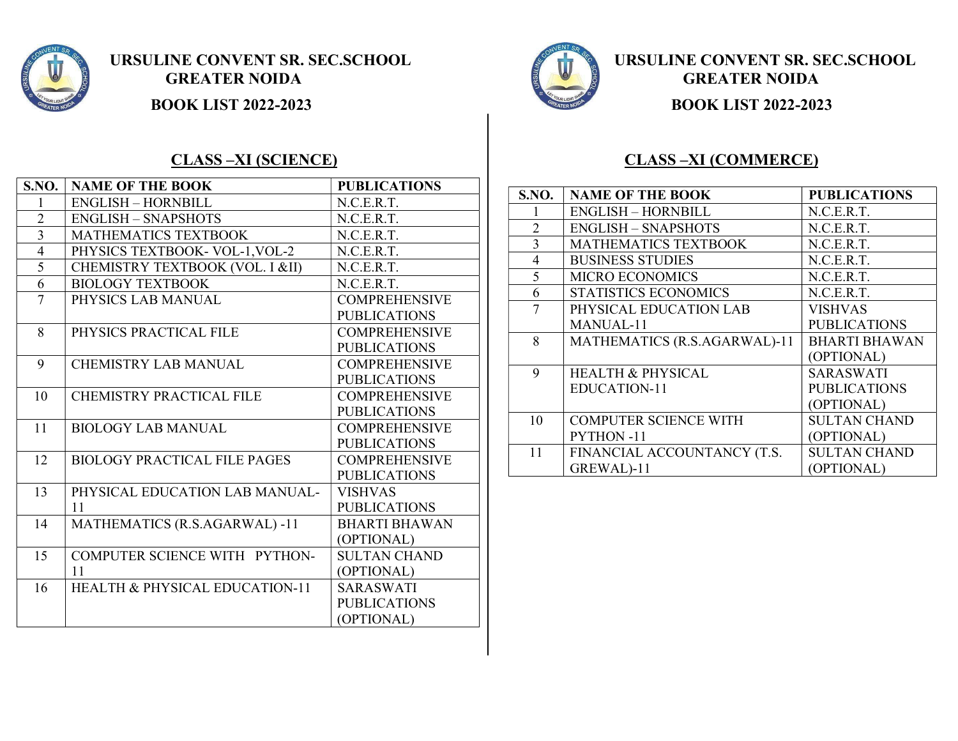

## URSULINE CONVENT SR. SEC.SCHOOL URSULINE CONVENT SR. SEC.SCHOOL GREATER NOIDA **EXECUTER NOIDA**

**BOOK LIST 2022-2023 BOOK LIST 2022-2023** 

### CLASS –XI (SCIENCE)

| <b>S.NO.</b>   | <b>NAME OF THE BOOK</b>                   | <b>PUBLICATIONS</b>  |
|----------------|-------------------------------------------|----------------------|
| 1              | <b>ENGLISH - HORNBILL</b>                 | N.C.E.R.T.           |
| $\overline{2}$ | <b>ENGLISH - SNAPSHOTS</b>                | N.C.E.R.T.           |
| 3              | <b>MATHEMATICS TEXTBOOK</b>               | N.C.E.R.T.           |
| $\overline{4}$ | PHYSICS TEXTBOOK- VOL-1, VOL-2            | N.C.E.R.T.           |
| $\overline{5}$ | CHEMISTRY TEXTBOOK (VOL. I &II)           | N.C.E.R.T.           |
| 6              | <b>BIOLOGY TEXTBOOK</b>                   | N.C.E.R.T.           |
| $\overline{7}$ | PHYSICS LAB MANUAL                        | <b>COMPREHENSIVE</b> |
|                |                                           | <b>PUBLICATIONS</b>  |
| 8              | PHYSICS PRACTICAL FILE                    | <b>COMPREHENSIVE</b> |
|                |                                           | <b>PUBLICATIONS</b>  |
| 9              | <b>CHEMISTRY LAB MANUAL</b>               | <b>COMPREHENSIVE</b> |
|                |                                           | <b>PUBLICATIONS</b>  |
| 10             | <b>CHEMISTRY PRACTICAL FILE</b>           | <b>COMPREHENSIVE</b> |
|                |                                           | <b>PUBLICATIONS</b>  |
| 11             | <b>BIOLOGY LAB MANUAL</b>                 | <b>COMPREHENSIVE</b> |
|                |                                           | <b>PUBLICATIONS</b>  |
| 12             | <b>BIOLOGY PRACTICAL FILE PAGES</b>       | <b>COMPREHENSIVE</b> |
|                |                                           | <b>PUBLICATIONS</b>  |
| 13             | PHYSICAL EDUCATION LAB MANUAL-            | <b>VISHVAS</b>       |
|                | 11                                        | <b>PUBLICATIONS</b>  |
| 14             | MATHEMATICS (R.S.AGARWAL) -11             | <b>BHARTI BHAWAN</b> |
|                |                                           | (OPTIONAL)           |
| 15             | COMPUTER SCIENCE WITH PYTHON-             | <b>SULTAN CHAND</b>  |
|                | 11                                        | (OPTIONAL)           |
| 16             | <b>HEALTH &amp; PHYSICAL EDUCATION-11</b> | <b>SARASWATI</b>     |
|                |                                           | <b>PUBLICATIONS</b>  |
|                |                                           | (OPTIONAL)           |

### CLASS –XI (COMMERCE)

| S.NO.          | <b>NAME OF THE BOOK</b>      | <b>PUBLICATIONS</b>  |
|----------------|------------------------------|----------------------|
|                | <b>ENGLISH - HORNBILL</b>    | N.C.E.R.T.           |
| $\overline{2}$ | <b>ENGLISH – SNAPSHOTS</b>   | N.C.E.R.T.           |
| 3              | <b>MATHEMATICS TEXTBOOK</b>  | N.C.E.R.T.           |
| 4              | <b>BUSINESS STUDIES</b>      | N.C.E.R.T.           |
| 5              | <b>MICRO ECONOMICS</b>       | N.C.E.R.T.           |
| 6              | STATISTICS ECONOMICS         | N.C.E.R.T.           |
| 7              | PHYSICAL EDUCATION LAB       | VISHVAS              |
|                | MANUAL-11                    | <b>PUBLICATIONS</b>  |
| 8              | MATHEMATICS (R.S.AGARWAL)-11 | <b>BHARTI BHAWAN</b> |
|                |                              | (OPTIONAL)           |
| 9              | <b>HEALTH &amp; PHYSICAL</b> | <b>SARASWATI</b>     |
|                | EDUCATION-11                 | PUBLICATIONS         |
|                |                              | (OPTIONAL)           |
| 10             | <b>COMPUTER SCIENCE WITH</b> | <b>SULTAN CHAND</b>  |
|                | <b>PYTHON-11</b>             | (OPTIONAL)           |
| 11             | FINANCIAL ACCOUNTANCY (T.S.  | <b>SULTAN CHAND</b>  |
|                | GREWAL)-11                   | (OPTIONAL)           |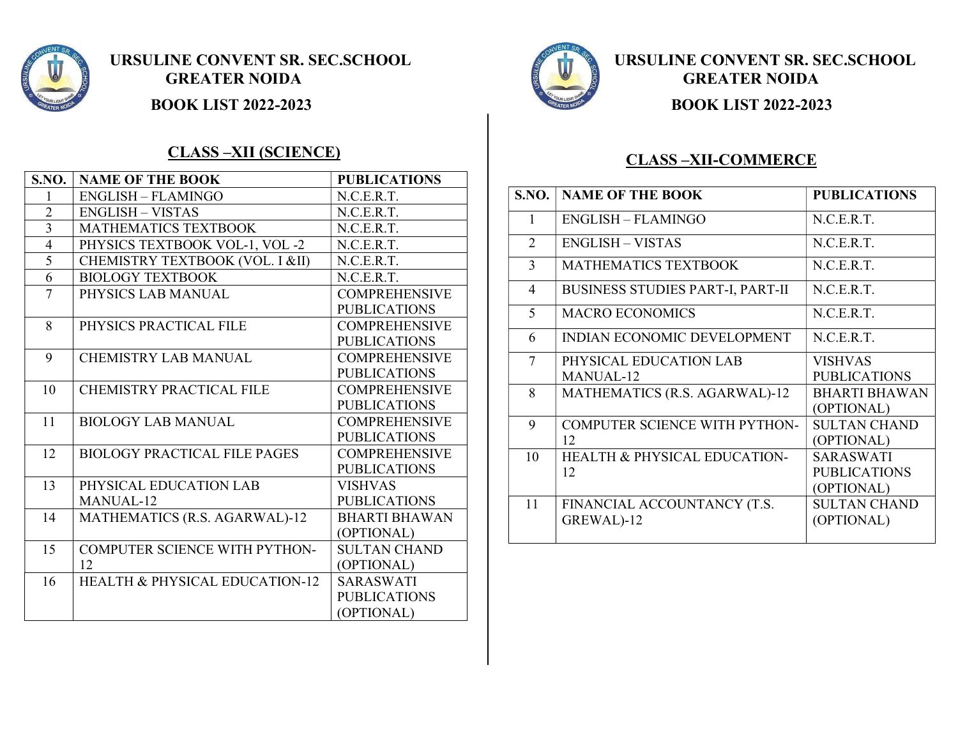

URSULINE CONVENT SR. SEC.SCHOOL URSULINE CONVENT SR. SEC.SCHOOL GREATER NOIDA **EXECUTER NOIDA** 

### CLASS –XII (SCIENCE)

| S.NO.          | <b>NAME OF THE BOOK</b>                   | <b>PUBLICATIONS</b>  |
|----------------|-------------------------------------------|----------------------|
| 1              | <b>ENGLISH - FLAMINGO</b>                 | N.C.E.R.T.           |
| $\overline{2}$ | <b>ENGLISH – VISTAS</b>                   | N.C.E.R.T.           |
| $\overline{3}$ | <b>MATHEMATICS TEXTBOOK</b>               | N.C.E.R.T.           |
| $\overline{4}$ | PHYSICS TEXTBOOK VOL-1, VOL-2             | N.C.E.R.T.           |
| 5              | CHEMISTRY TEXTBOOK (VOL. I &II)           | N.C.E.R.T.           |
| 6              | <b>BIOLOGY TEXTBOOK</b>                   | N.C.E.R.T.           |
| $\overline{7}$ | PHYSICS LAB MANUAL                        | <b>COMPREHENSIVE</b> |
|                |                                           | <b>PUBLICATIONS</b>  |
| 8              | PHYSICS PRACTICAL FILE                    | <b>COMPREHENSIVE</b> |
|                |                                           | <b>PUBLICATIONS</b>  |
| 9              | <b>CHEMISTRY LAB MANUAL</b>               | <b>COMPREHENSIVE</b> |
|                |                                           | <b>PUBLICATIONS</b>  |
| 10             | <b>CHEMISTRY PRACTICAL FILE</b>           | <b>COMPREHENSIVE</b> |
|                |                                           | <b>PUBLICATIONS</b>  |
| 11             | <b>BIOLOGY LAB MANUAL</b>                 | <b>COMPREHENSIVE</b> |
|                |                                           | <b>PUBLICATIONS</b>  |
| 12             | <b>BIOLOGY PRACTICAL FILE PAGES</b>       | <b>COMPREHENSIVE</b> |
|                |                                           | <b>PUBLICATIONS</b>  |
| 13             | PHYSICAL EDUCATION LAB                    | <b>VISHVAS</b>       |
|                | MANUAL-12                                 | <b>PUBLICATIONS</b>  |
| 14             | MATHEMATICS (R.S. AGARWAL)-12             | <b>BHARTI BHAWAN</b> |
|                |                                           | (OPTIONAL)           |
| 15             | COMPUTER SCIENCE WITH PYTHON-             | <b>SULTAN CHAND</b>  |
|                | 12                                        | (OPTIONAL)           |
| 16             | <b>HEALTH &amp; PHYSICAL EDUCATION-12</b> | <b>SARASWATI</b>     |
|                |                                           | <b>PUBLICATIONS</b>  |
|                |                                           | (OPTIONAL)           |



**BOOK LIST 2022-2023 BOOK LIST 2022-2023** 

### CLASS –XII-COMMERCE

| <b>S.NO.</b> | <b>NAME OF THE BOOK</b>                 | <b>PUBLICATIONS</b>  |
|--------------|-----------------------------------------|----------------------|
| 1            | <b>ENGLISH - FLAMINGO</b>               | N.C.E.R.T.           |
| 2            | <b>ENGLISH - VISTAS</b>                 | N.C.E.R.T.           |
| 3            | <b>MATHEMATICS TEXTBOOK</b>             | N.C.E.R.T.           |
| 4            | <b>BUSINESS STUDIES PART-I, PART-II</b> | N.C.E.R.T.           |
| 5            | <b>MACRO ECONOMICS</b>                  | N.C.E.R.T.           |
| 6            | INDIAN ECONOMIC DEVELOPMENT             | N.C.E.R.T.           |
| 7            | PHYSICAL EDUCATION LAB                  | VISHVAS              |
|              | MANUAL-12                               | <b>PUBLICATIONS</b>  |
| 8            | MATHEMATICS (R.S. AGARWAL)-12           | <b>BHARTI BHAWAN</b> |
|              |                                         | (OPTIONAL)           |
| 9            | COMPUTER SCIENCE WITH PYTHON-           | <b>SULTAN CHAND</b>  |
|              | 12                                      | (OPTIONAL)           |
| 10           | <b>HEALTH &amp; PHYSICAL EDUCATION-</b> | SARASWATI            |
|              | 12                                      | <b>PUBLICATIONS</b>  |
|              |                                         | (OPTIONAL)           |
| 11           | FINANCIAL ACCOUNTANCY (T.S.             | <b>SULTAN CHAND</b>  |
|              | GREWAL)-12                              | (OPTIONAL)           |
|              |                                         |                      |